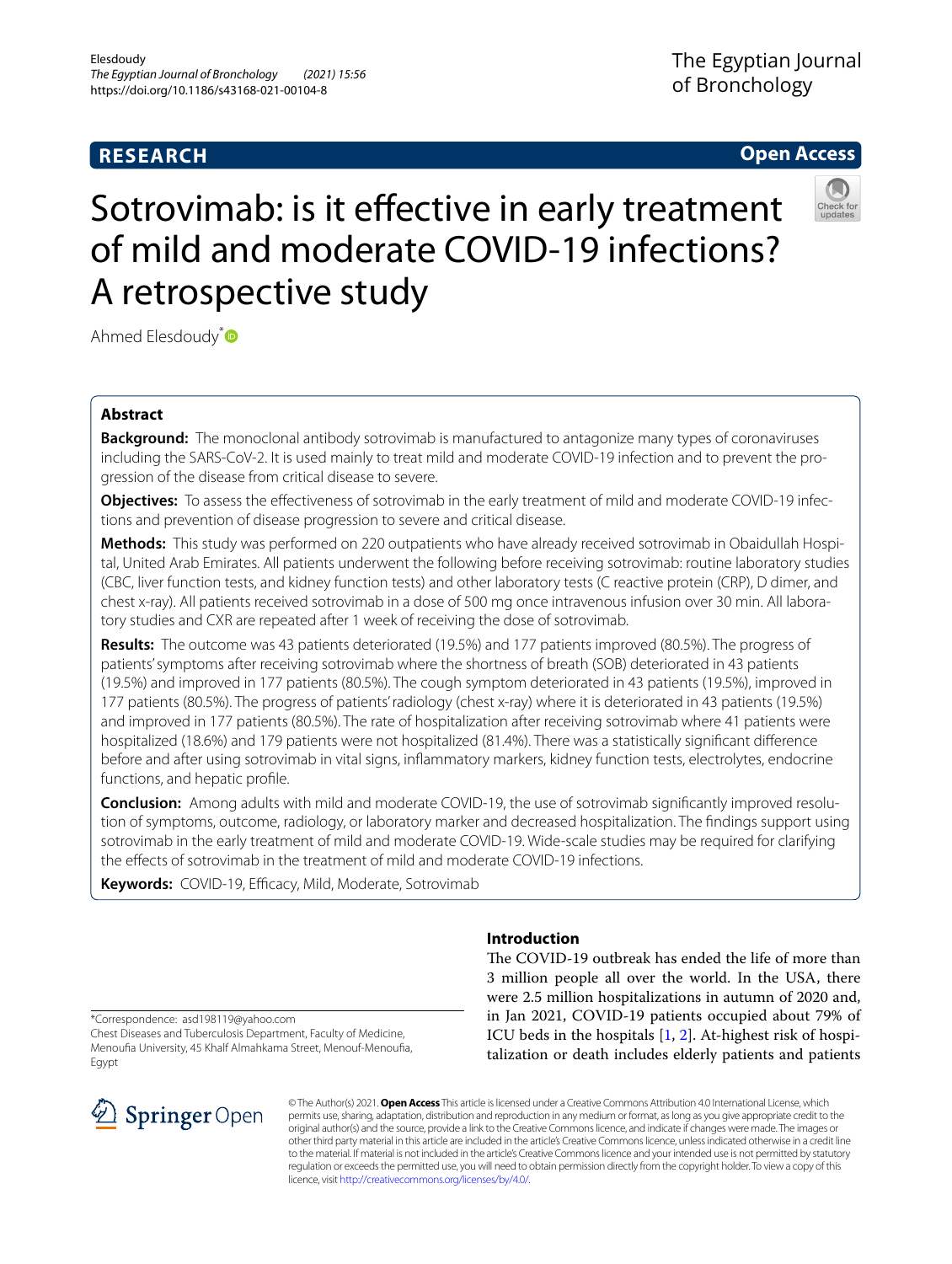# **RESEARCH**

# **Open Access**



# Sotrovimab: is it effective in early treatment of mild and moderate COVID-19 infections? A retrospective study

Ahmed Elesdoudy<sup>[\\*](http://orcid.org/0000-0002-1493-7190)</sup>

# **Abstract**

**Background:** The monoclonal antibody sotrovimab is manufactured to antagonize many types of coronaviruses including the SARS-CoV-2. It is used mainly to treat mild and moderate COVID-19 infection and to prevent the progression of the disease from critical disease to severe.

**Objectives:** To assess the efectiveness of sotrovimab in the early treatment of mild and moderate COVID-19 infections and prevention of disease progression to severe and critical disease.

**Methods:** This study was performed on 220 outpatients who have already received sotrovimab in Obaidullah Hospital, United Arab Emirates. All patients underwent the following before receiving sotrovimab: routine laboratory studies (CBC, liver function tests, and kidney function tests) and other laboratory tests (C reactive protein (CRP), D dimer, and chest x-ray). All patients received sotrovimab in a dose of 500 mg once intravenous infusion over 30 min. All laboratory studies and CXR are repeated after 1 week of receiving the dose of sotrovimab.

**Results:** The outcome was 43 patients deteriorated (19.5%) and 177 patients improved (80.5%). The progress of patients' symptoms after receiving sotrovimab where the shortness of breath (SOB) deteriorated in 43 patients (19.5%) and improved in 177 patients (80.5%). The cough symptom deteriorated in 43 patients (19.5%), improved in 177 patients (80.5%). The progress of patients' radiology (chest x-ray) where it is deteriorated in 43 patients (19.5%) and improved in 177 patients (80.5%). The rate of hospitalization after receiving sotrovimab where 41 patients were hospitalized (18.6%) and 179 patients were not hospitalized (81.4%). There was a statistically signifcant diference before and after using sotrovimab in vital signs, infammatory markers, kidney function tests, electrolytes, endocrine functions, and hepatic profle.

**Conclusion:** Among adults with mild and moderate COVID-19, the use of sotrovimab signifcantly improved resolution of symptoms, outcome, radiology, or laboratory marker and decreased hospitalization. The fndings support using sotrovimab in the early treatment of mild and moderate COVID-19. Wide-scale studies may be required for clarifying the efects of sotrovimab in the treatment of mild and moderate COVID-19 infections.

Keywords: COVID-19, Efficacy, Mild, Moderate, Sotrovimab

\*Correspondence: asd198119@yahoo.com

Chest Diseases and Tuberculosis Department, Faculty of Medicine, Menoufa University, 45 Khalf Almahkama Street, Menouf-Menoufa, **Egypt** 



# **Introduction**

The COVID-19 outbreak has ended the life of more than 3 million people all over the world. In the USA, there were 2.5 million hospitalizations in autumn of 2020 and, in Jan 2021, COVID-19 patients occupied about 79% of ICU beds in the hospitals  $[1, 2]$  $[1, 2]$  $[1, 2]$  $[1, 2]$  $[1, 2]$ . At-highest risk of hospitalization or death includes elderly patients and patients

© The Author(s) 2021. **Open Access** This article is licensed under a Creative Commons Attribution 4.0 International License, which permits use, sharing, adaptation, distribution and reproduction in any medium or format, as long as you give appropriate credit to the original author(s) and the source, provide a link to the Creative Commons licence, and indicate if changes were made. The images or other third party material in this article are included in the article's Creative Commons licence, unless indicated otherwise in a credit line to the material. If material is not included in the article's Creative Commons licence and your intended use is not permitted by statutory regulation or exceeds the permitted use, you will need to obtain permission directly from the copyright holder. To view a copy of this licence, visit [http://creativecommons.org/licenses/by/4.0/.](http://creativecommons.org/licenses/by/4.0/)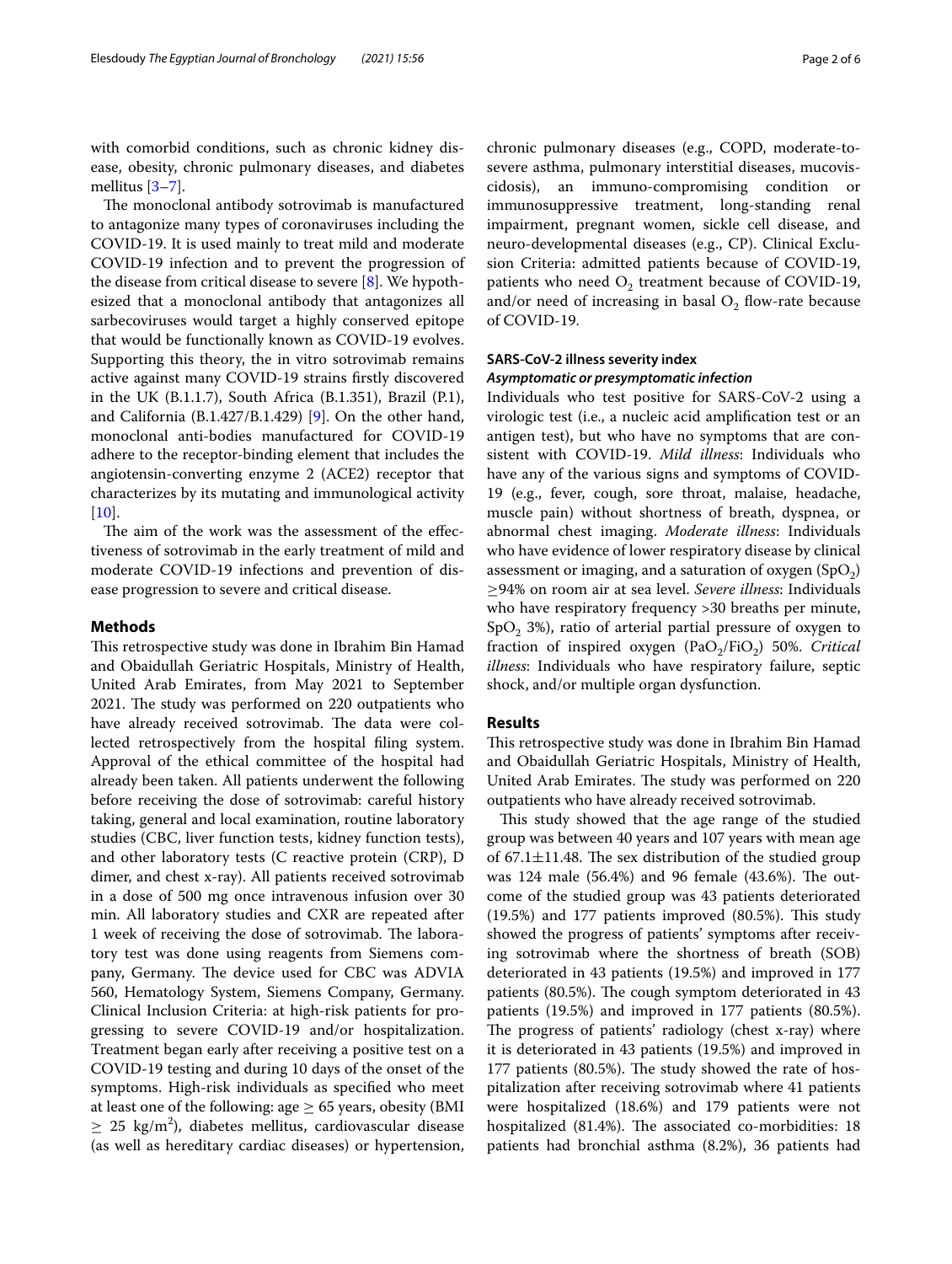with comorbid conditions, such as chronic kidney disease, obesity, chronic pulmonary diseases, and diabetes mellitus [[3–](#page-4-2)[7\]](#page-5-0).

The monoclonal antibody sotrovimab is manufactured to antagonize many types of coronaviruses including the COVID-19. It is used mainly to treat mild and moderate COVID-19 infection and to prevent the progression of the disease from critical disease to severe [\[8](#page-5-1)]. We hypothesized that a monoclonal antibody that antagonizes all sarbecoviruses would target a highly conserved epitope that would be functionally known as COVID-19 evolves. Supporting this theory, the in vitro sotrovimab remains active against many COVID-19 strains frstly discovered in the UK (B.1.1.7), South Africa (B.1.351), Brazil (P.1), and California (B.1.427/B.1.429) [[9\]](#page-5-2). On the other hand, monoclonal anti-bodies manufactured for COVID-19 adhere to the receptor-binding element that includes the angiotensin-converting enzyme 2 (ACE2) receptor that characterizes by its mutating and immunological activity  $[10]$  $[10]$ .

The aim of the work was the assessment of the effectiveness of sotrovimab in the early treatment of mild and moderate COVID-19 infections and prevention of disease progression to severe and critical disease.

## **Methods**

This retrospective study was done in Ibrahim Bin Hamad and Obaidullah Geriatric Hospitals, Ministry of Health, United Arab Emirates, from May 2021 to September 2021. The study was performed on 220 outpatients who have already received sotrovimab. The data were collected retrospectively from the hospital fling system. Approval of the ethical committee of the hospital had already been taken. All patients underwent the following before receiving the dose of sotrovimab: careful history taking, general and local examination, routine laboratory studies (CBC, liver function tests, kidney function tests), and other laboratory tests (C reactive protein (CRP), D dimer, and chest x-ray). All patients received sotrovimab in a dose of 500 mg once intravenous infusion over 30 min. All laboratory studies and CXR are repeated after 1 week of receiving the dose of sotrovimab. The laboratory test was done using reagents from Siemens company, Germany. The device used for CBC was ADVIA 560, Hematology System, Siemens Company, Germany. Clinical Inclusion Criteria: at high-risk patients for progressing to severe COVID-19 and/or hospitalization. Treatment began early after receiving a positive test on a COVID-19 testing and during 10 days of the onset of the symptoms. High-risk individuals as specifed who meet at least one of the following: age  $\geq$  65 years, obesity (BMI  $\geq$  25 kg/m<sup>2</sup>), diabetes mellitus, cardiovascular disease (as well as hereditary cardiac diseases) or hypertension,

chronic pulmonary diseases (e.g., COPD, moderate-tosevere asthma, pulmonary interstitial diseases, mucoviscidosis), an immuno-compromising condition or immunosuppressive treatment, long-standing renal impairment, pregnant women, sickle cell disease, and neuro-developmental diseases (e.g., CP). Clinical Exclusion Criteria: admitted patients because of COVID-19, patients who need  $O_2$  treatment because of COVID-19, and/or need of increasing in basal  $O_2$  flow-rate because of COVID-19.

# **SARS‑CoV‑2 illness severity index** *Asymptomatic or presymptomatic infection*

Individuals who test positive for SARS-CoV-2 using a virologic test (i.e., a nucleic acid amplifcation test or an antigen test), but who have no symptoms that are consistent with COVID-19. *Mild illness*: Individuals who have any of the various signs and symptoms of COVID-19 (e.g., fever, cough, sore throat, malaise, headache, muscle pain) without shortness of breath, dyspnea, or abnormal chest imaging. *Moderate illness*: Individuals who have evidence of lower respiratory disease by clinical assessment or imaging, and a saturation of oxygen  $(SpO<sub>2</sub>)$ ≥94% on room air at sea level. *Severe illness*: Individuals who have respiratory frequency >30 breaths per minute,  $SpO<sub>2</sub>$  3%), ratio of arterial partial pressure of oxygen to fraction of inspired oxygen (PaO<sub>2</sub>/FiO<sub>2</sub>) 50%. *Critical illness*: Individuals who have respiratory failure, septic shock, and/or multiple organ dysfunction.

## **Results**

This retrospective study was done in Ibrahim Bin Hamad and Obaidullah Geriatric Hospitals, Ministry of Health, United Arab Emirates. The study was performed on 220 outpatients who have already received sotrovimab.

This study showed that the age range of the studied group was between 40 years and 107 years with mean age of  $67.1 \pm 11.48$ . The sex distribution of the studied group was  $124$  male  $(56.4%)$  and 96 female  $(43.6%)$ . The outcome of the studied group was 43 patients deteriorated  $(19.5%)$  and 177 patients improved  $(80.5%).$  This study showed the progress of patients' symptoms after receiving sotrovimab where the shortness of breath (SOB) deteriorated in 43 patients (19.5%) and improved in 177 patients (80.5%). The cough symptom deteriorated in 43 patients (19.5%) and improved in 177 patients (80.5%). The progress of patients' radiology (chest x-ray) where it is deteriorated in 43 patients (19.5%) and improved in 177 patients (80.5%). The study showed the rate of hospitalization after receiving sotrovimab where 41 patients were hospitalized (18.6%) and 179 patients were not hospitalized (81.4%). The associated co-morbidities: 18 patients had bronchial asthma (8.2%), 36 patients had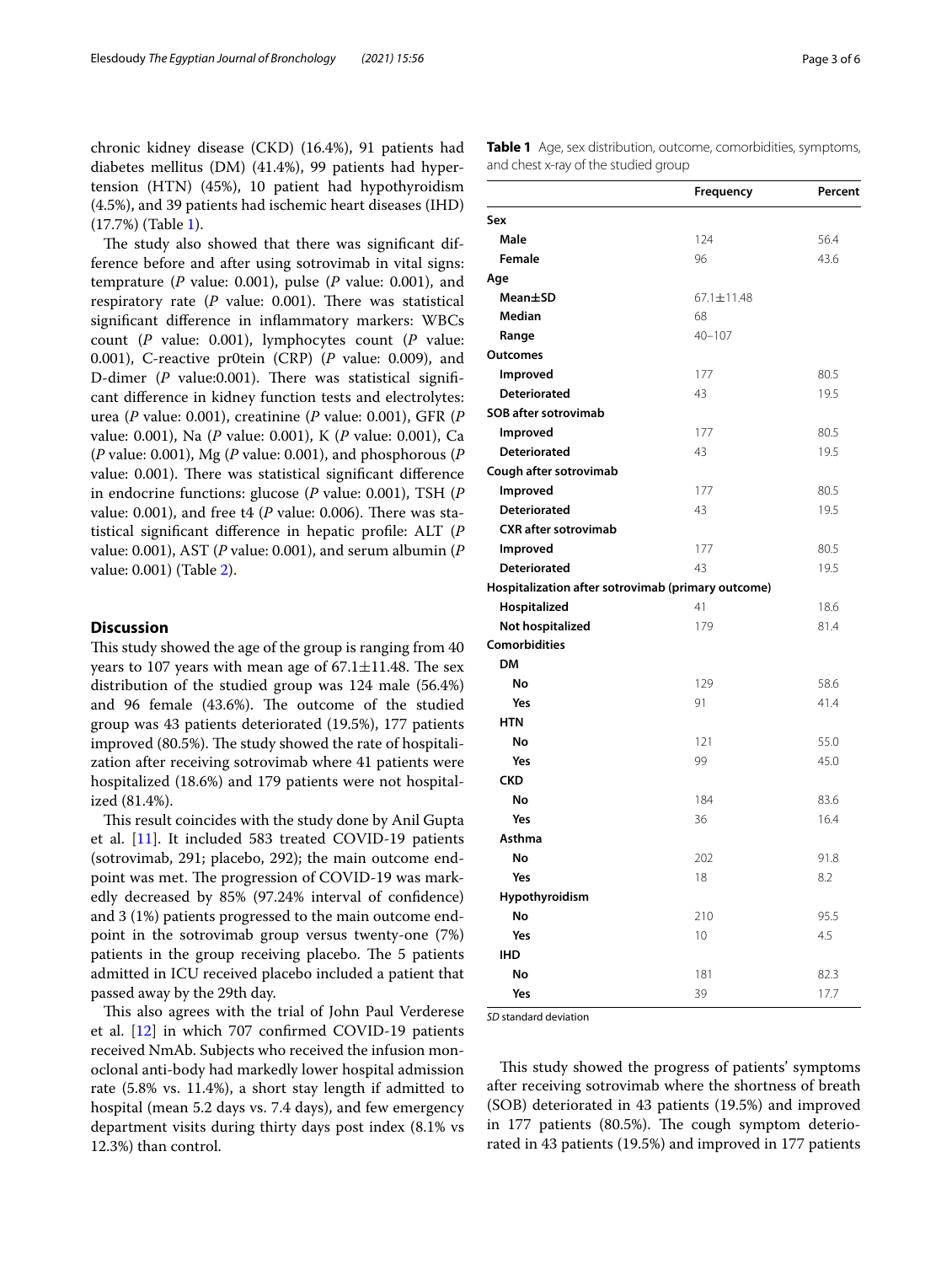chronic kidney disease (CKD) (16.4%), 91 patients had diabetes mellitus (DM) (41.4%), 99 patients had hypertension (HTN) (45%), 10 patient had hypothyroidism (4.5%), and 39 patients had ischemic heart diseases (IHD) (17.7%) (Table [1](#page-2-0)).

The study also showed that there was significant difference before and after using sotrovimab in vital signs: temprature (*P* value: 0.001), pulse (*P* value: 0.001), and respiratory rate  $(P \text{ value: } 0.001)$ . There was statistical signifcant diference in infammatory markers: WBCs count (*P* value: 0.001), lymphocytes count (*P* value: 0.001), C-reactive pr0tein (CRP) (*P* value: 0.009), and D-dimer (*P* value:0.001). There was statistical significant diference in kidney function tests and electrolytes: urea (*P* value: 0.001), creatinine (*P* value: 0.001), GFR (*P* value: 0.001), Na (*P* value: 0.001), K (*P* value: 0.001), Ca (*P* value: 0.001), Mg (*P* value: 0.001), and phosphorous (*P* value: 0.001). There was statistical significant difference in endocrine functions: glucose (*P* value: 0.001), TSH (*P* value:  $0.001$ ), and free t4 (*P* value:  $0.006$ ). There was statistical signifcant diference in hepatic profle: ALT (*P* value: 0.001), AST (*P* value: 0.001), and serum albumin (*P* value: 0.001) (Table [2\)](#page-3-0).

# **Discussion**

This study showed the age of the group is ranging from 40 years to 107 years with mean age of  $67.1 \pm 11.48$ . The sex distribution of the studied group was 124 male (56.4%) and 96 female (43.6%). The outcome of the studied group was 43 patients deteriorated (19.5%), 177 patients improved (80.5%). The study showed the rate of hospitalization after receiving sotrovimab where 41 patients were hospitalized (18.6%) and 179 patients were not hospitalized (81.4%).

This result coincides with the study done by Anil Gupta et al. [[11](#page-5-4)]. It included 583 treated COVID-19 patients (sotrovimab, 291; placebo, 292); the main outcome endpoint was met. The progression of COVID-19 was markedly decreased by 85% (97.24% interval of confdence) and 3 (1%) patients progressed to the main outcome endpoint in the sotrovimab group versus twenty-one (7%) patients in the group receiving placebo. The 5 patients admitted in ICU received placebo included a patient that passed away by the 29th day.

This also agrees with the trial of John Paul Verderese et al.  $[12]$  in which 707 confirmed COVID-19 patients received NmAb. Subjects who received the infusion monoclonal anti-body had markedly lower hospital admission rate (5.8% vs. 11.4%), a short stay length if admitted to hospital (mean 5.2 days vs. 7.4 days), and few emergency department visits during thirty days post index (8.1% vs 12.3%) than control.

<span id="page-2-0"></span>**Table 1** Age, sex distribution, outcome, comorbidities, symptoms, and chest x-ray of the studied group

|                                                    | Frequency  | Percent |  |  |
|----------------------------------------------------|------------|---------|--|--|
| Sex                                                |            |         |  |  |
| Male                                               | 124        | 56.4    |  |  |
| Female                                             | 96         | 43.6    |  |  |
| Age                                                |            |         |  |  |
| Mean±SD                                            | 67.1±11.48 |         |  |  |
| <b>Median</b>                                      | 68         |         |  |  |
| Range                                              | $40 - 107$ |         |  |  |
| Outcomes                                           |            |         |  |  |
| Improved                                           | 177        | 80.5    |  |  |
| Deteriorated                                       | 43         | 19.5    |  |  |
| <b>SOB after sotrovimab</b>                        |            |         |  |  |
| Improved                                           | 177        | 80.5    |  |  |
| Deteriorated                                       | 43         | 19.5    |  |  |
| Cough after sotrovimab                             |            |         |  |  |
| Improved                                           | 177        | 80.5    |  |  |
| <b>Deteriorated</b>                                | 43         | 19.5    |  |  |
| <b>CXR</b> after sotrovimab                        |            |         |  |  |
| Improved                                           | 177        | 80.5    |  |  |
| <b>Deteriorated</b>                                | 43         | 19.5    |  |  |
| Hospitalization after sotrovimab (primary outcome) |            |         |  |  |
| Hospitalized                                       | 41         | 18.6    |  |  |
| Not hospitalized                                   | 179        | 81.4    |  |  |
| Comorbidities                                      |            |         |  |  |
| <b>DM</b>                                          |            |         |  |  |
| No                                                 | 129        | 58.6    |  |  |
| Yes                                                | 91         | 41.4    |  |  |
| <b>HTN</b>                                         |            |         |  |  |
| No                                                 | 121        | 55.0    |  |  |
| Yes                                                | 99         | 45.0    |  |  |
| <b>CKD</b>                                         |            |         |  |  |
| No                                                 | 184        | 83.6    |  |  |
| Yes                                                | 36         | 16.4    |  |  |
| Asthma                                             |            |         |  |  |
| No                                                 | 202        | 91.8    |  |  |
| Yes                                                | 18         | 8.2     |  |  |
| Hypothyroidism                                     |            |         |  |  |
| No                                                 | 210        | 95.5    |  |  |
| Yes                                                | 10         | 4.5     |  |  |
| <b>IHD</b>                                         |            |         |  |  |
| No                                                 | 181        | 82.3    |  |  |
| Yes                                                | 39         | 17.7    |  |  |

*SD* standard deviation

This study showed the progress of patients' symptoms after receiving sotrovimab where the shortness of breath (SOB) deteriorated in 43 patients (19.5%) and improved in 177 patients (80.5%). The cough symptom deteriorated in 43 patients (19.5%) and improved in 177 patients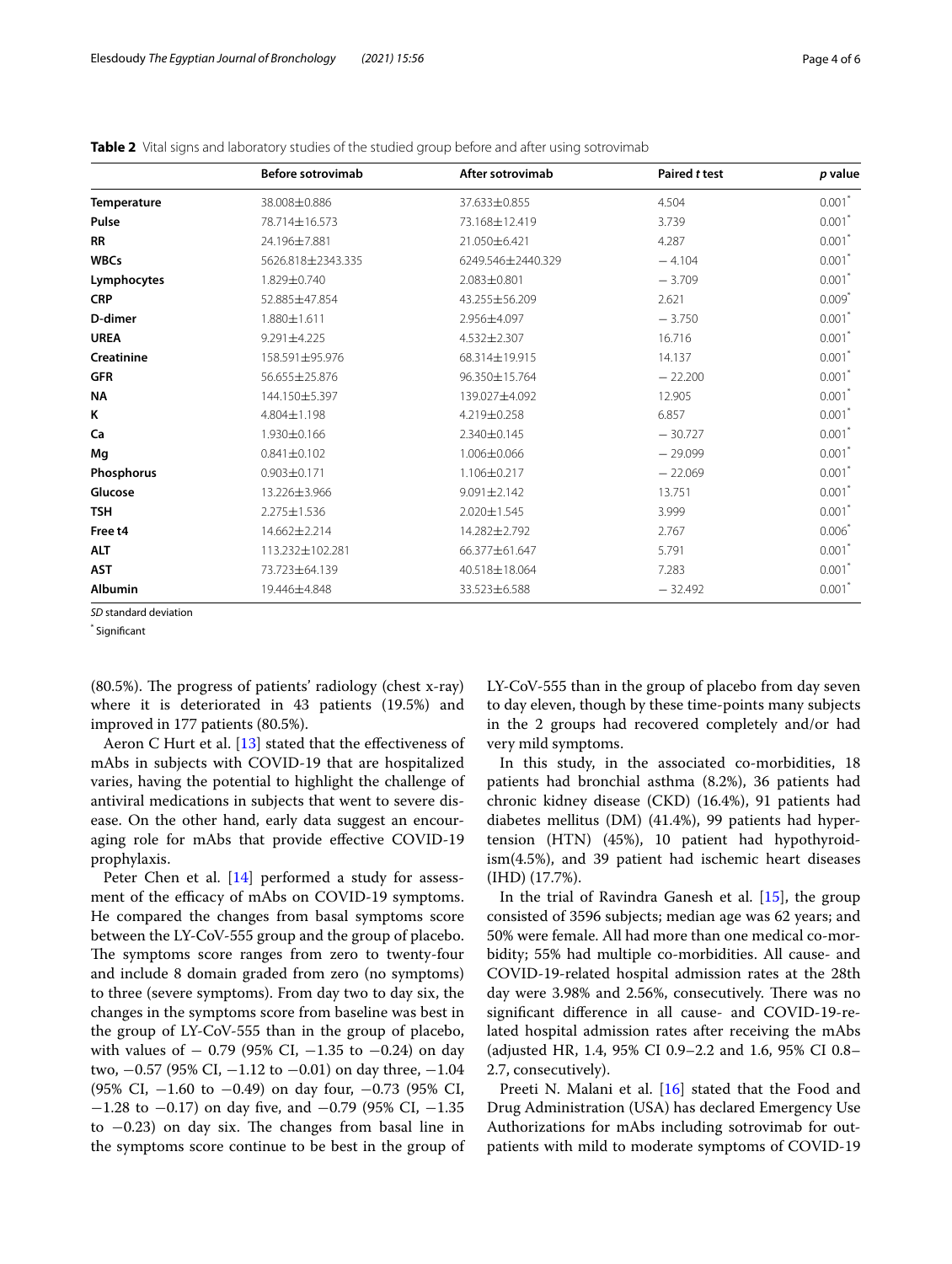|                | <b>Before sotrovimab</b> | After sotrovimab  | Paired t test | p value              |
|----------------|--------------------------|-------------------|---------------|----------------------|
| Temperature    | 38.008±0.886             | 37.633±0.855      | 4.504         | $0.001*$             |
| Pulse          | 78.714±16.573            | 73.168±12.419     | 3.739         | $0.001$ <sup>*</sup> |
| <b>RR</b>      | 24.196±7.881             | 21.050±6.421      | 4.287         | $0.001$ <sup>*</sup> |
| <b>WBCs</b>    | 5626.818±2343.335        | 6249.546±2440.329 | $-4.104$      | $0.001*$             |
| Lymphocytes    | 1.829±0.740              | 2.083±0.801       | $-3.709$      | $0.001*$             |
| <b>CRP</b>     | 52.885±47.854            | 43.255±56.209     | 2.621         | $0.009*$             |
| D-dimer        | 1.880±1.611              | 2.956±4.097       | $-3.750$      | $0.001$ *            |
| <b>UREA</b>    | 9.291±4.225              | 4.532±2.307       | 16.716        | $0.001*$             |
| Creatinine     | 158.591±95.976           | 68.314±19.915     | 14.137        | $0.001*$             |
| <b>GFR</b>     | 56.655±25.876            | 96.350±15.764     | $-22.200$     | $0.001$ *            |
| <b>NA</b>      | 144.150±5.397            | 139.027±4.092     | 12.905        | $0.001$ <sup>*</sup> |
| ĸ              | 4.804±1.198              | 4.219±0.258       | 6.857         | $0.001*$             |
| Ca             | 1.930±0.166              | 2.340±0.145       | $-30.727$     | $0.001*$             |
| Mg             | $0.841 \pm 0.102$        | 1.006±0.066       | $-29.099$     | $0.001$ <sup>*</sup> |
| Phosphorus     | $0.903 \pm 0.171$        | 1.106±0.217       | $-22.069$     | $0.001^*$            |
| Glucose        | 13.226±3.966             | $9.091 \pm 2.142$ | 13.751        | $0.001*$             |
| <b>TSH</b>     | 2.275±1.536              | 2.020±1.545       | 3.999         | $0.001$ <sup>*</sup> |
| Free t4        | 14.662±2.214             | 14.282±2.792      | 2.767         | $0.006*$             |
| ALT            | 113.232±102.281          | 66.377±61.647     | 5.791         | $0.001*$             |
| AST            | 73.723±64.139            | 40.518±18.064     | 7.283         | $0.001*$             |
| <b>Albumin</b> | 19.446±4.848             | 33.523±6.588      | $-32.492$     | $0.001$ <sup>*</sup> |

<span id="page-3-0"></span>**Table 2** Vital signs and laboratory studies of the studied group before and after using sotrovimab

*SD* standard deviation

\* Signifcant

 $(80.5\%)$ . The progress of patients' radiology (chest x-ray) where it is deteriorated in 43 patients (19.5%) and improved in 177 patients (80.5%).

Aeron C Hurt et al.  $[13]$  $[13]$  stated that the effectiveness of mAbs in subjects with COVID-19 that are hospitalized varies, having the potential to highlight the challenge of antiviral medications in subjects that went to severe disease. On the other hand, early data suggest an encouraging role for mAbs that provide efective COVID-19 prophylaxis.

Peter Chen et al. [[14\]](#page-5-7) performed a study for assessment of the efficacy of mAbs on COVID-19 symptoms. He compared the changes from basal symptoms score between the LY-CoV-555 group and the group of placebo. The symptoms score ranges from zero to twenty-four and include 8 domain graded from zero (no symptoms) to three (severe symptoms). From day two to day six, the changes in the symptoms score from baseline was best in the group of LY-CoV-555 than in the group of placebo, with values of  $-$  0.79 (95% CI,  $-1.35$  to  $-0.24$ ) on day two, −0.57 (95% CI, −1.12 to −0.01) on day three, −1.04 (95% CI, −1.60 to −0.49) on day four, −0.73 (95% CI, −1.28 to −0.17) on day fve, and −0.79 (95% CI, −1.35 to  $-0.23$ ) on day six. The changes from basal line in the symptoms score continue to be best in the group of LY-CoV-555 than in the group of placebo from day seven to day eleven, though by these time-points many subjects in the 2 groups had recovered completely and/or had very mild symptoms.

In this study, in the associated co-morbidities, 18 patients had bronchial asthma (8.2%), 36 patients had chronic kidney disease (CKD) (16.4%), 91 patients had diabetes mellitus (DM) (41.4%), 99 patients had hypertension (HTN) (45%), 10 patient had hypothyroidism(4.5%), and 39 patient had ischemic heart diseases (IHD) (17.7%).

In the trial of Ravindra Ganesh et al. [\[15](#page-5-8)], the group consisted of 3596 subjects; median age was 62 years; and 50% were female. All had more than one medical co-morbidity; 55% had multiple co-morbidities. All cause- and COVID-19-related hospital admission rates at the 28th day were 3.98% and 2.56%, consecutively. There was no signifcant diference in all cause- and COVID-19-related hospital admission rates after receiving the mAbs (adjusted HR, 1.4, 95% CI 0.9–2.2 and 1.6, 95% CI 0.8– 2.7, consecutively).

Preeti N. Malani et al. [[16\]](#page-5-9) stated that the Food and Drug Administration (USA) has declared Emergency Use Authorizations for mAbs including sotrovimab for outpatients with mild to moderate symptoms of COVID-19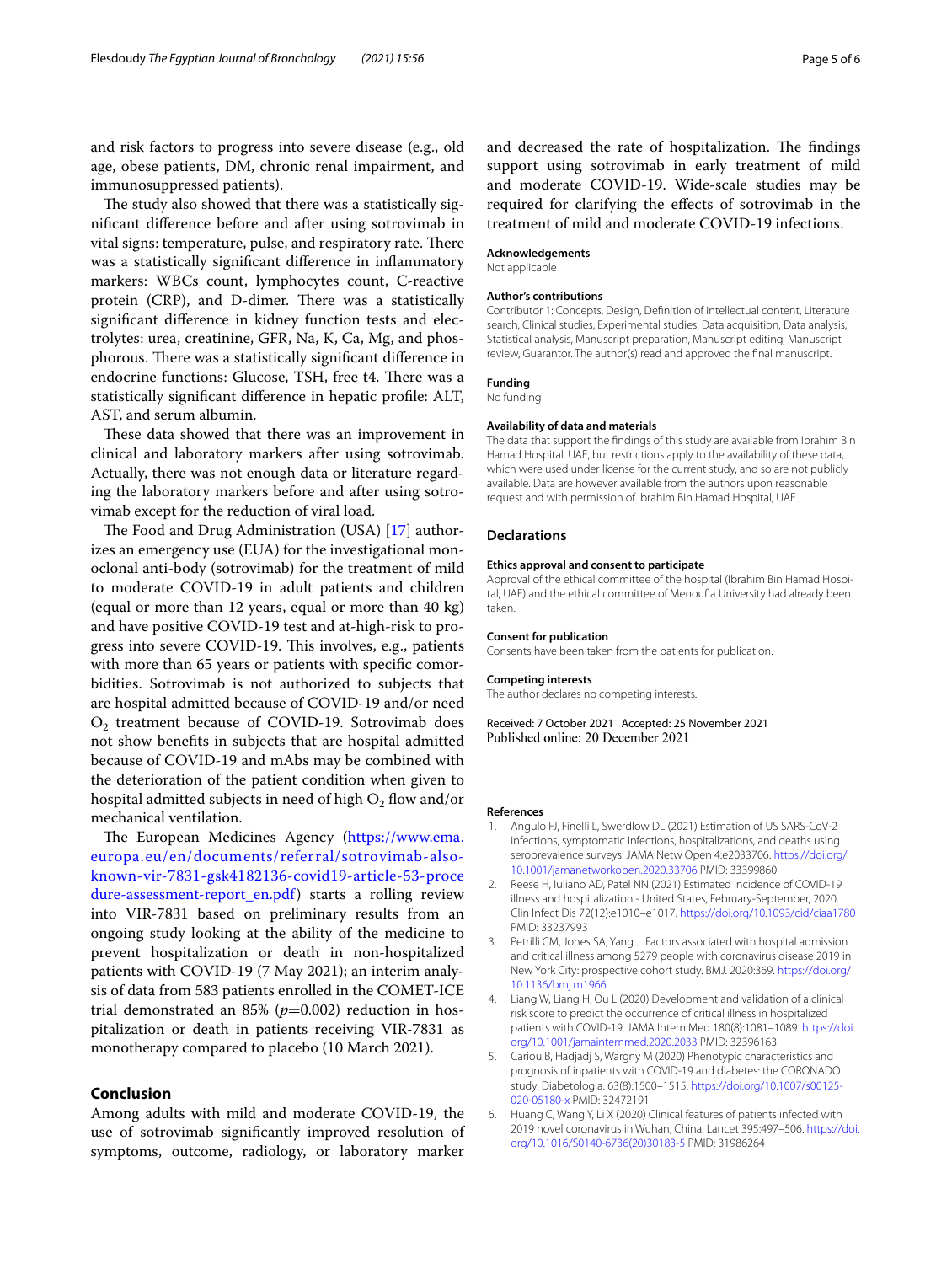and risk factors to progress into severe disease (e.g., old age, obese patients, DM, chronic renal impairment, and immunosuppressed patients).

The study also showed that there was a statistically signifcant diference before and after using sotrovimab in vital signs: temperature, pulse, and respiratory rate. There was a statistically signifcant diference in infammatory markers: WBCs count, lymphocytes count, C-reactive protein (CRP), and D-dimer. There was a statistically signifcant diference in kidney function tests and electrolytes: urea, creatinine, GFR, Na, K, Ca, Mg, and phosphorous. There was a statistically significant difference in endocrine functions: Glucose, TSH, free t4. There was a statistically signifcant diference in hepatic profle: ALT, AST, and serum albumin.

These data showed that there was an improvement in clinical and laboratory markers after using sotrovimab. Actually, there was not enough data or literature regarding the laboratory markers before and after using sotrovimab except for the reduction of viral load.

The Food and Drug Administration (USA)  $[17]$  $[17]$  authorizes an emergency use (EUA) for the investigational monoclonal anti-body (sotrovimab) for the treatment of mild to moderate COVID-19 in adult patients and children (equal or more than 12 years, equal or more than 40 kg) and have positive COVID-19 test and at-high-risk to progress into severe COVID-19. This involves, e.g., patients with more than 65 years or patients with specific comorbidities. Sotrovimab is not authorized to subjects that are hospital admitted because of COVID-19 and/or need O<sub>2</sub> treatment because of COVID-19. Sotrovimab does not show benefts in subjects that are hospital admitted because of COVID-19 and mAbs may be combined with the deterioration of the patient condition when given to hospital admitted subjects in need of high  $O_2$  flow and/or mechanical ventilation.

The European Medicines Agency ([https://www.ema.](https://www.ema.europa.eu/en/documents/referral/sotrovimab-also-known-vir-7831-gsk4182136-covid19-article-53-procedure-assessment-report_en.pdf) [europa.eu/en/documents/referral/sotrovimab-also](https://www.ema.europa.eu/en/documents/referral/sotrovimab-also-known-vir-7831-gsk4182136-covid19-article-53-procedure-assessment-report_en.pdf)[known-vir-7831-gsk4182136-covid19-article-53-proce](https://www.ema.europa.eu/en/documents/referral/sotrovimab-also-known-vir-7831-gsk4182136-covid19-article-53-procedure-assessment-report_en.pdf) [dure-assessment-report\\_en.pdf](https://www.ema.europa.eu/en/documents/referral/sotrovimab-also-known-vir-7831-gsk4182136-covid19-article-53-procedure-assessment-report_en.pdf)) starts a rolling review into VIR-7831 based on preliminary results from an ongoing study looking at the ability of the medicine to prevent hospitalization or death in non-hospitalized patients with COVID-19 (7 May 2021); an interim analysis of data from 583 patients enrolled in the COMET-ICE trial demonstrated an  $85\%$  ( $p=0.002$ ) reduction in hospitalization or death in patients receiving VIR-7831 as monotherapy compared to placebo (10 March 2021).

# **Conclusion**

Among adults with mild and moderate COVID-19, the use of sotrovimab signifcantly improved resolution of symptoms, outcome, radiology, or laboratory marker and decreased the rate of hospitalization. The findings support using sotrovimab in early treatment of mild and moderate COVID-19. Wide-scale studies may be required for clarifying the efects of sotrovimab in the treatment of mild and moderate COVID-19 infections.

# **Acknowledgements**

Not applicable

#### **Author's contributions**

Contributor 1: Concepts, Design, Defnition of intellectual content, Literature search, Clinical studies, Experimental studies, Data acquisition, Data analysis, Statistical analysis, Manuscript preparation, Manuscript editing, Manuscript review, Guarantor. The author(s) read and approved the fnal manuscript.

# **Funding**

No funding

## **Availability of data and materials**

The data that support the fndings of this study are available from Ibrahim Bin Hamad Hospital, UAE, but restrictions apply to the availability of these data, which were used under license for the current study, and so are not publicly available. Data are however available from the authors upon reasonable request and with permission of Ibrahim Bin Hamad Hospital, UAE.

## **Declarations**

#### **Ethics approval and consent to participate**

Approval of the ethical committee of the hospital (Ibrahim Bin Hamad Hospital, UAE) and the ethical committee of Menoufa University had already been taken.

#### **Consent for publication** Consents have been taken from the patients for publication.

**Competing interests**

The author declares no competing interests.

Received: 7 October 2021 Accepted: 25 November 2021 Published online: 20 December 2021

#### **References**

- <span id="page-4-0"></span>1. Angulo FJ, Finelli L, Swerdlow DL (2021) Estimation of US SARS-CoV-2 infections, symptomatic infections, hospitalizations, and deaths using seroprevalence surveys. JAMA Netw Open 4:e2033706. [https://doi.org/](https://doi.org/10.1001/jamanetworkopen.2020.33706) [10.1001/jamanetworkopen.2020.33706](https://doi.org/10.1001/jamanetworkopen.2020.33706) PMID: 33399860
- <span id="page-4-1"></span>2. Reese H, Iuliano AD, Patel NN (2021) Estimated incidence of COVID-19 illness and hospitalization - United States, February-September, 2020. Clin Infect Dis 72(12):e1010–e1017. <https://doi.org/10.1093/cid/ciaa1780> PMID: 33237993
- <span id="page-4-2"></span>3. Petrilli CM, Jones SA, Yang J Factors associated with hospital admission and critical illness among 5279 people with coronavirus disease 2019 in New York City: prospective cohort study. BMJ. 2020:369. [https://doi.org/](https://doi.org/10.1136/bmj.m1966) [10.1136/bmj.m1966](https://doi.org/10.1136/bmj.m1966)
- Liang W, Liang H, Ou L (2020) Development and validation of a clinical risk score to predict the occurrence of critical illness in hospitalized patients with COVID-19. JAMA Intern Med 180(8):1081-1089. https://doi [org/10.1001/jamainternmed.2020.2033](https://doi.org/10.1001/jamainternmed.2020.2033) PMID: 32396163
- 5. Cariou B, Hadjadj S, Wargny M (2020) Phenotypic characteristics and prognosis of inpatients with COVID-19 and diabetes: the CORONADO study. Diabetologia. 63(8):1500–1515. [https://doi.org/10.1007/s00125-](https://doi.org/10.1007/s00125-020-05180-x) [020-05180-x](https://doi.org/10.1007/s00125-020-05180-x) PMID: 32472191
- 6. Huang C, Wang Y, Li X (2020) Clinical features of patients infected with 2019 novel coronavirus in Wuhan, China. Lancet 395:497–506. [https://doi.](https://doi.org/10.1016/S0140-6736(20)30183-5) [org/10.1016/S0140-6736\(20\)30183-5](https://doi.org/10.1016/S0140-6736(20)30183-5) PMID: 31986264